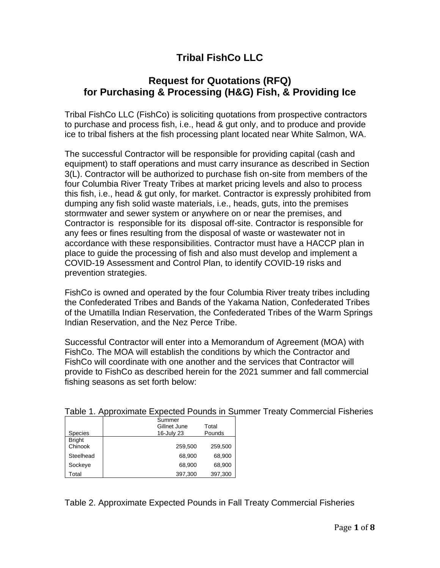# **Tribal FishCo LLC**

## **Request for Quotations (RFQ) for Purchasing & Processing (H&G) Fish, & Providing Ice**

Tribal FishCo LLC (FishCo) is soliciting quotations from prospective contractors to purchase and process fish, i.e., head & gut only, and to produce and provide ice to tribal fishers at the fish processing plant located near White Salmon, WA.

The successful Contractor will be responsible for providing capital (cash and equipment) to staff operations and must carry insurance as described in Section 3(L). Contractor will be authorized to purchase fish on-site from members of the four Columbia River Treaty Tribes at market pricing levels and also to process this fish, i.e., head & gut only, for market. Contractor is expressly prohibited from dumping any fish solid waste materials, i.e., heads, guts, into the premises stormwater and sewer system or anywhere on or near the premises, and Contractor is responsible for its disposal off-site. Contractor is responsible for any fees or fines resulting from the disposal of waste or wastewater not in accordance with these responsibilities. Contractor must have a HACCP plan in place to guide the processing of fish and also must develop and implement a COVID-19 Assessment and Control Plan, to identify COVID-19 risks and prevention strategies.

FishCo is owned and operated by the four Columbia River treaty tribes including the Confederated Tribes and Bands of the Yakama Nation, Confederated Tribes of the Umatilla Indian Reservation, the Confederated Tribes of the Warm Springs Indian Reservation, and the Nez Perce Tribe.

Successful Contractor will enter into a Memorandum of Agreement (MOA) with FishCo. The MOA will establish the conditions by which the Contractor and FishCo will coordinate with one another and the services that Contractor will provide to FishCo as described herein for the 2021 summer and fall commercial fishing seasons as set forth below:

|                | Summer       |         |  |
|----------------|--------------|---------|--|
|                | Gillnet June | Total   |  |
| <b>Species</b> | 16-July 23   | Pounds  |  |
| <b>Bright</b>  |              |         |  |
| Chinook        | 259,500      | 259,500 |  |
| Steelhead      | 68,900       | 68,900  |  |
| Sockeye        | 68,900       | 68,900  |  |
| Total          | 397,300      | 397,300 |  |

Table 1. Approximate Expected Pounds in Summer Treaty Commercial Fisheries

Table 2. Approximate Expected Pounds in Fall Treaty Commercial Fisheries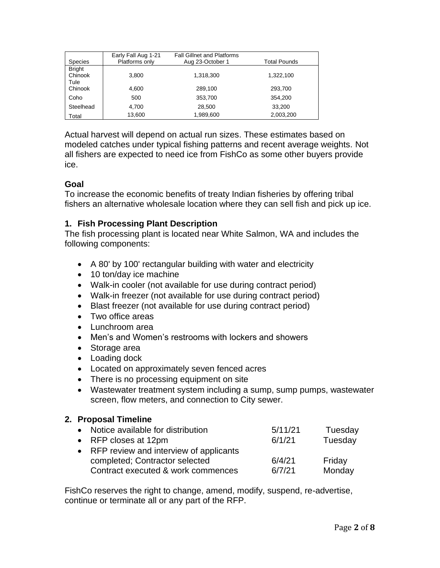| <b>Species</b>                   | Early Fall Aug 1-21<br>Platforms only | <b>Fall Gillnet and Platforms</b><br>Aug 23-October 1 | <b>Total Pounds</b> |
|----------------------------------|---------------------------------------|-------------------------------------------------------|---------------------|
| <b>Bright</b><br>Chinook<br>Tule | 3,800                                 | 1,318,300                                             | 1,322,100           |
| Chinook                          | 4.600                                 | 289,100                                               | 293,700             |
| Coho                             | 500                                   | 353,700                                               | 354,200             |
| Steelhead                        | 4,700                                 | 28,500                                                | 33,200              |
| Total                            | 13,600                                | 1,989,600                                             | 2,003,200           |

Actual harvest will depend on actual run sizes. These estimates based on modeled catches under typical fishing patterns and recent average weights. Not all fishers are expected to need ice from FishCo as some other buyers provide ice.

## **Goal**

To increase the economic benefits of treaty Indian fisheries by offering tribal fishers an alternative wholesale location where they can sell fish and pick up ice.

## **1. Fish Processing Plant Description**

The fish processing plant is located near White Salmon, WA and includes the following components:

- A 80' by 100' rectangular building with water and electricity
- 10 ton/day ice machine
- Walk-in cooler (not available for use during contract period)
- Walk-in freezer (not available for use during contract period)
- Blast freezer (not available for use during contract period)
- Two office areas
- Lunchroom area
- Men's and Women's restrooms with lockers and showers
- Storage area
- Loading dock
- Located on approximately seven fenced acres
- There is no processing equipment on site
- Wastewater treatment system including a sump, sump pumps, wastewater screen, flow meters, and connection to City sewer.

#### **2. Proposal Timeline**

| • Notice available for distribution      | 5/11/21 | Tuesday |
|------------------------------------------|---------|---------|
| • RFP closes at $12 \text{pm}$           | 6/1/21  | Tuesday |
| • RFP review and interview of applicants |         |         |
| completed; Contractor selected           | 6/4/21  | Friday  |
| Contract executed & work commences       | 6/7/21  | Monday  |

FishCo reserves the right to change, amend, modify, suspend, re-advertise, continue or terminate all or any part of the RFP.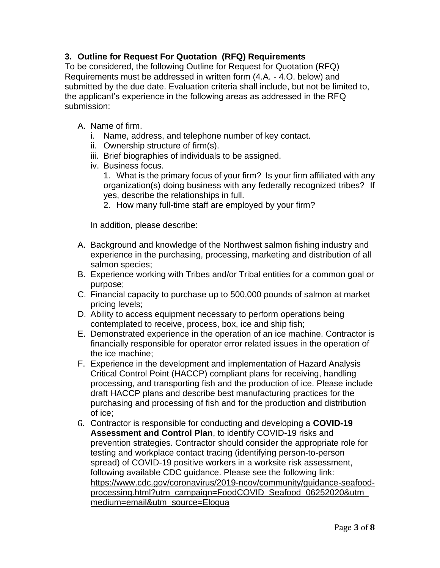## **3. Outline for Request For Quotation (RFQ) Requirements**

To be considered, the following Outline for Request for Quotation (RFQ) Requirements must be addressed in written form (4.A. - 4.O. below) and submitted by the due date. Evaluation criteria shall include, but not be limited to, the applicant's experience in the following areas as addressed in the RFQ submission:

- A. Name of firm.
	- i. Name, address, and telephone number of key contact.
	- ii. Ownership structure of firm(s).
	- iii. Brief biographies of individuals to be assigned.
	- iv. Business focus.
		- 1. What is the primary focus of your firm? Is your firm affiliated with any organization(s) doing business with any federally recognized tribes? If yes, describe the relationships in full.
		- 2. How many full-time staff are employed by your firm?

In addition, please describe:

- A. Background and knowledge of the Northwest salmon fishing industry and experience in the purchasing, processing, marketing and distribution of all salmon species;
- B. Experience working with Tribes and/or Tribal entities for a common goal or purpose;
- C. Financial capacity to purchase up to 500,000 pounds of salmon at market pricing levels;
- D. Ability to access equipment necessary to perform operations being contemplated to receive, process, box, ice and ship fish;
- E. Demonstrated experience in the operation of an ice machine. Contractor is financially responsible for operator error related issues in the operation of the ice machine;
- F. Experience in the development and implementation of Hazard Analysis Critical Control Point (HACCP) compliant plans for receiving, handling processing, and transporting fish and the production of ice. Please include draft HACCP plans and describe best manufacturing practices for the purchasing and processing of fish and for the production and distribution of ice;
- G. Contractor is responsible for conducting and developing a **COVID-19 Assessment and Control Plan**, to identify COVID-19 risks and prevention strategies. Contractor should consider the appropriate role for testing and workplace contact tracing (identifying person-to-person spread) of COVID-19 positive workers in a worksite risk assessment, following available CDC guidance. Please see the following link: [https://www.cdc.gov/coronavirus/2019-ncov/community/guidance-seafood](https://www.cdc.gov/coronavirus/2019-ncov/community/guidance-seafood-processing.html?utm_campaign=FoodCOVID_Seafood_06252020&utm_medium=email&utm_source=Eloqua)[processing.html?utm\\_campaign=FoodCOVID\\_Seafood\\_06252020&utm\\_](https://www.cdc.gov/coronavirus/2019-ncov/community/guidance-seafood-processing.html?utm_campaign=FoodCOVID_Seafood_06252020&utm_medium=email&utm_source=Eloqua) [medium=email&utm\\_source=Eloqua](https://www.cdc.gov/coronavirus/2019-ncov/community/guidance-seafood-processing.html?utm_campaign=FoodCOVID_Seafood_06252020&utm_medium=email&utm_source=Eloqua)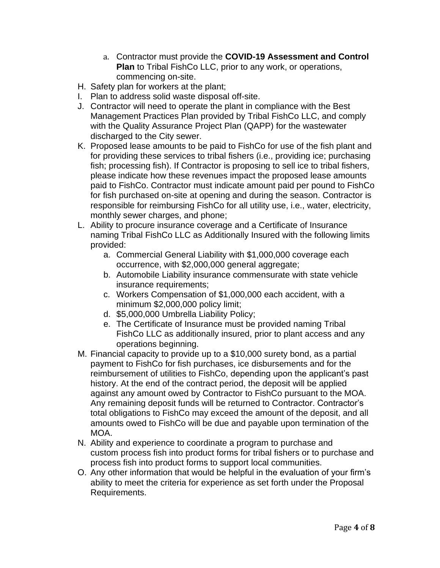- a. Contractor must provide the **COVID-19 Assessment and Control Plan** to Tribal FishCo LLC, prior to any work, or operations, commencing on-site.
- H. Safety plan for workers at the plant;
- I. Plan to address solid waste disposal off-site.
- J. Contractor will need to operate the plant in compliance with the Best Management Practices Plan provided by Tribal FishCo LLC, and comply with the Quality Assurance Project Plan (QAPP) for the wastewater discharged to the City sewer.
- K. Proposed lease amounts to be paid to FishCo for use of the fish plant and for providing these services to tribal fishers (i.e., providing ice; purchasing fish; processing fish). If Contractor is proposing to sell ice to tribal fishers, please indicate how these revenues impact the proposed lease amounts paid to FishCo. Contractor must indicate amount paid per pound to FishCo for fish purchased on-site at opening and during the season. Contractor is responsible for reimbursing FishCo for all utility use, i.e., water, electricity, monthly sewer charges, and phone;
- L. Ability to procure insurance coverage and a Certificate of Insurance naming Tribal FishCo LLC as Additionally Insured with the following limits provided:
	- a. Commercial General Liability with \$1,000,000 coverage each occurrence, with \$2,000,000 general aggregate;
	- b. Automobile Liability insurance commensurate with state vehicle insurance requirements;
	- c. Workers Compensation of \$1,000,000 each accident, with a minimum \$2,000,000 policy limit;
	- d. \$5,000,000 Umbrella Liability Policy;
	- e. The Certificate of Insurance must be provided naming Tribal FishCo LLC as additionally insured, prior to plant access and any operations beginning.
- M. Financial capacity to provide up to a \$10,000 surety bond, as a partial payment to FishCo for fish purchases, ice disbursements and for the reimbursement of utilities to FishCo, depending upon the applicant's past history. At the end of the contract period, the deposit will be applied against any amount owed by Contractor to FishCo pursuant to the MOA. Any remaining deposit funds will be returned to Contractor. Contractor's total obligations to FishCo may exceed the amount of the deposit, and all amounts owed to FishCo will be due and payable upon termination of the MOA.
- N. Ability and experience to coordinate a program to purchase and custom process fish into product forms for tribal fishers or to purchase and process fish into product forms to support local communities.
- O. Any other information that would be helpful in the evaluation of your firm's ability to meet the criteria for experience as set forth under the Proposal Requirements.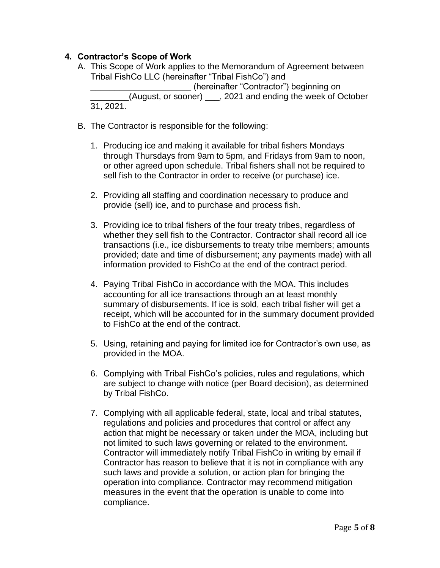## **4. Contractor's Scope of Work**

- A. This Scope of Work applies to the Memorandum of Agreement between Tribal FishCo LLC (hereinafter "Tribal FishCo") and (hereinafter "Contractor") beginning on \_\_\_\_\_\_\_\_(August, or sooner) \_\_\_, 2021 and ending the week of October 31, 2021.
- B. The Contractor is responsible for the following:
	- 1. Producing ice and making it available for tribal fishers Mondays through Thursdays from 9am to 5pm, and Fridays from 9am to noon, or other agreed upon schedule. Tribal fishers shall not be required to sell fish to the Contractor in order to receive (or purchase) ice.
	- 2. Providing all staffing and coordination necessary to produce and provide (sell) ice, and to purchase and process fish.
	- 3. Providing ice to tribal fishers of the four treaty tribes, regardless of whether they sell fish to the Contractor. Contractor shall record all ice transactions (i.e., ice disbursements to treaty tribe members; amounts provided; date and time of disbursement; any payments made) with all information provided to FishCo at the end of the contract period.
	- 4. Paying Tribal FishCo in accordance with the MOA. This includes accounting for all ice transactions through an at least monthly summary of disbursements. If ice is sold, each tribal fisher will get a receipt, which will be accounted for in the summary document provided to FishCo at the end of the contract.
	- 5. Using, retaining and paying for limited ice for Contractor's own use, as provided in the MOA.
	- 6. Complying with Tribal FishCo's policies, rules and regulations, which are subject to change with notice (per Board decision), as determined by Tribal FishCo.
	- 7. Complying with all applicable federal, state, local and tribal statutes, regulations and policies and procedures that control or affect any action that might be necessary or taken under the MOA, including but not limited to such laws governing or related to the environment. Contractor will immediately notify Tribal FishCo in writing by email if Contractor has reason to believe that it is not in compliance with any such laws and provide a solution, or action plan for bringing the operation into compliance. Contractor may recommend mitigation measures in the event that the operation is unable to come into compliance.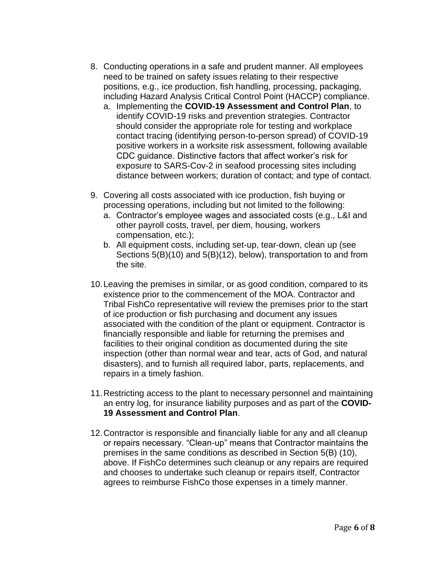- 8. Conducting operations in a safe and prudent manner. All employees need to be trained on safety issues relating to their respective positions, e.g., ice production, fish handling, processing, packaging, including Hazard Analysis Critical Control Point (HACCP) compliance.
	- a. Implementing the **COVID-19 Assessment and Control Plan**, to identify COVID-19 risks and prevention strategies. Contractor should consider the appropriate role for testing and workplace contact tracing (identifying person-to-person spread) of COVID-19 positive workers in a worksite risk assessment, following available CDC guidance. Distinctive factors that affect worker's risk for exposure to SARS-Cov-2 in seafood processing sites including distance between workers; duration of contact; and type of contact.
- 9. Covering all costs associated with ice production, fish buying or processing operations, including but not limited to the following:
	- a. Contractor's employee wages and associated costs (e.g., L&I and other payroll costs, travel, per diem, housing, workers compensation, etc.);
	- b. All equipment costs, including set-up, tear-down, clean up (see Sections 5(B)(10) and 5(B)(12), below), transportation to and from the site.
- 10.Leaving the premises in similar, or as good condition, compared to its existence prior to the commencement of the MOA. Contractor and Tribal FishCo representative will review the premises prior to the start of ice production or fish purchasing and document any issues associated with the condition of the plant or equipment. Contractor is financially responsible and liable for returning the premises and facilities to their original condition as documented during the site inspection (other than normal wear and tear, acts of God, and natural disasters), and to furnish all required labor, parts, replacements, and repairs in a timely fashion.
- 11.Restricting access to the plant to necessary personnel and maintaining an entry log, for insurance liability purposes and as part of the **COVID-19 Assessment and Control Plan**.
- 12.Contractor is responsible and financially liable for any and all cleanup or repairs necessary. "Clean-up" means that Contractor maintains the premises in the same conditions as described in Section 5(B) (10), above. If FishCo determines such cleanup or any repairs are required and chooses to undertake such cleanup or repairs itself, Contractor agrees to reimburse FishCo those expenses in a timely manner.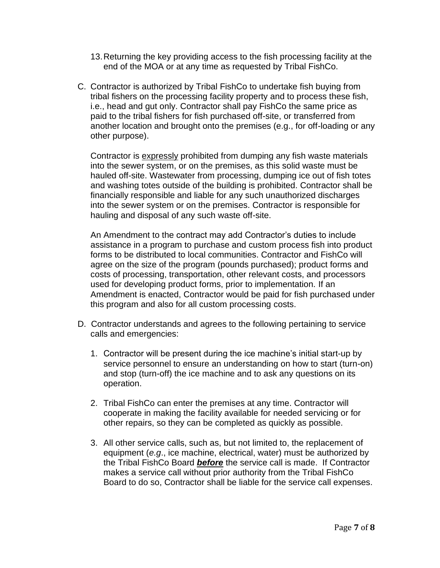- 13.Returning the key providing access to the fish processing facility at the end of the MOA or at any time as requested by Tribal FishCo.
- C. Contractor is authorized by Tribal FishCo to undertake fish buying from tribal fishers on the processing facility property and to process these fish, i.e., head and gut only. Contractor shall pay FishCo the same price as paid to the tribal fishers for fish purchased off-site, or transferred from another location and brought onto the premises (e.g., for off-loading or any other purpose).

Contractor is expressly prohibited from dumping any fish waste materials into the sewer system, or on the premises, as this solid waste must be hauled off-site. Wastewater from processing, dumping ice out of fish totes and washing totes outside of the building is prohibited. Contractor shall be financially responsible and liable for any such unauthorized discharges into the sewer system or on the premises. Contractor is responsible for hauling and disposal of any such waste off-site.

An Amendment to the contract may add Contractor's duties to include assistance in a program to purchase and custom process fish into product forms to be distributed to local communities. Contractor and FishCo will agree on the size of the program (pounds purchased); product forms and costs of processing, transportation, other relevant costs, and processors used for developing product forms, prior to implementation. If an Amendment is enacted, Contractor would be paid for fish purchased under this program and also for all custom processing costs.

- D. Contractor understands and agrees to the following pertaining to service calls and emergencies:
	- 1. Contractor will be present during the ice machine's initial start-up by service personnel to ensure an understanding on how to start (turn-on) and stop (turn-off) the ice machine and to ask any questions on its operation.
	- 2. Tribal FishCo can enter the premises at any time. Contractor will cooperate in making the facility available for needed servicing or for other repairs, so they can be completed as quickly as possible.
	- 3. All other service calls, such as, but not limited to, the replacement of equipment (*e.g*., ice machine, electrical, water) must be authorized by the Tribal FishCo Board *before* the service call is made. If Contractor makes a service call without prior authority from the Tribal FishCo Board to do so, Contractor shall be liable for the service call expenses.